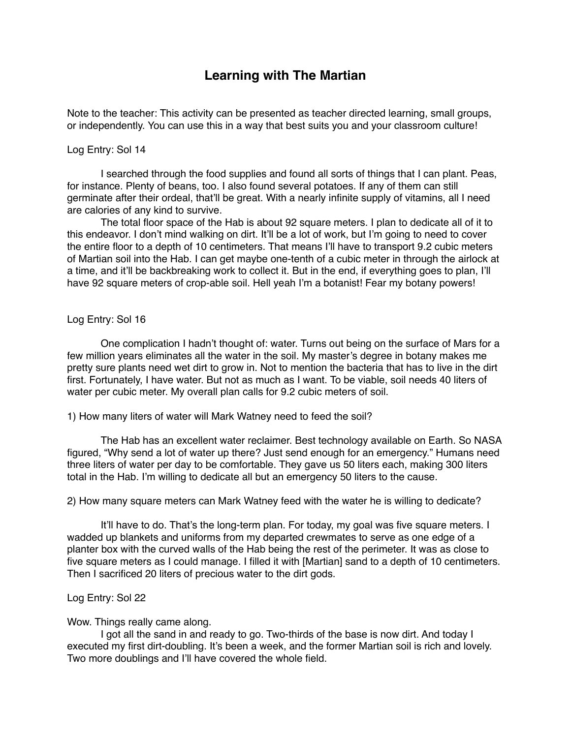## **Learning with The Martian**

Note to the teacher: This activity can be presented as teacher directed learning, small groups, or independently. You can use this in a way that best suits you and your classroom culture!

## Log Entry: Sol 14

I searched through the food supplies and found all sorts of things that I can plant. Peas, for instance. Plenty of beans, too. I also found several potatoes. If any of them can still germinate after their ordeal, that'll be great. With a nearly infinite supply of vitamins, all I need are calories of any kind to survive.

The total floor space of the Hab is about 92 square meters. I plan to dedicate all of it to this endeavor. I don't mind walking on dirt. It'll be a lot of work, but I'm going to need to cover the entire floor to a depth of 10 centimeters. That means I'll have to transport 9.2 cubic meters of Martian soil into the Hab. I can get maybe one-tenth of a cubic meter in through the airlock at a time, and it'll be backbreaking work to collect it. But in the end, if everything goes to plan, I'll have 92 square meters of crop-able soil. Hell yeah I'm a botanist! Fear my botany powers!

## Log Entry: Sol 16

One complication I hadn't thought of: water. Turns out being on the surface of Mars for a few million years eliminates all the water in the soil. My master's degree in botany makes me pretty sure plants need wet dirt to grow in. Not to mention the bacteria that has to live in the dirt first. Fortunately, I have water. But not as much as I want. To be viable, soil needs 40 liters of water per cubic meter. My overall plan calls for 9.2 cubic meters of soil.

1) How many liters of water will Mark Watney need to feed the soil?

The Hab has an excellent water reclaimer. Best technology available on Earth. So NASA figured, "Why send a lot of water up there? Just send enough for an emergency." Humans need three liters of water per day to be comfortable. They gave us 50 liters each, making 300 liters total in the Hab. I'm willing to dedicate all but an emergency 50 liters to the cause.

2) How many square meters can Mark Watney feed with the water he is willing to dedicate?

It'll have to do. That's the long-term plan. For today, my goal was five square meters. I wadded up blankets and uniforms from my departed crewmates to serve as one edge of a planter box with the curved walls of the Hab being the rest of the perimeter. It was as close to five square meters as I could manage. I filled it with [Martian] sand to a depth of 10 centimeters. Then I sacrificed 20 liters of precious water to the dirt gods.

## Log Entry: Sol 22

Wow. Things really came along.

I got all the sand in and ready to go. Two-thirds of the base is now dirt. And today I executed my first dirt-doubling. It's been a week, and the former Martian soil is rich and lovely. Two more doublings and I'll have covered the whole field.